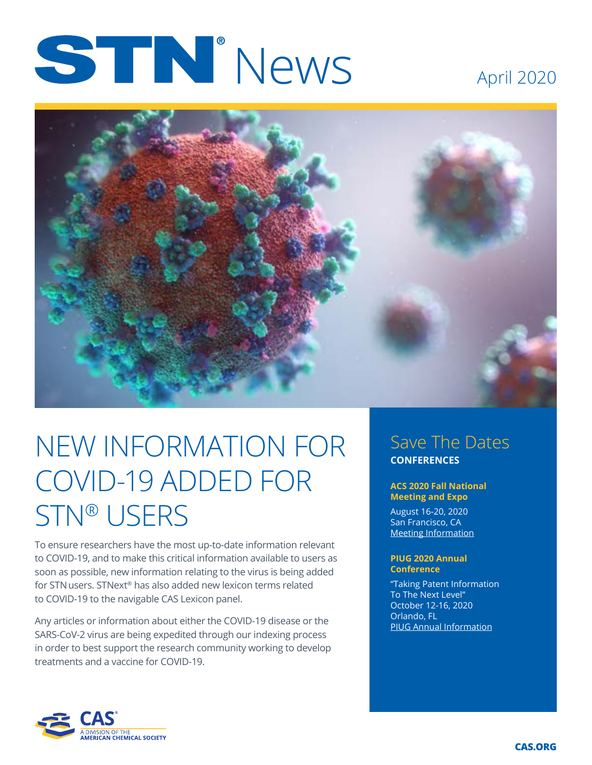# STN<sup>.</sup>News

### April 2020



## NEW INFORMATION FOR COVID-19 ADDED FOR STN® USERS

To ensure researchers have the most up-to-date information relevant to COVID-19, and to make this critical information available to users as soon as possible, new information relating to the virus is being added for STNusers. STNext® has also added new lexicon terms related to COVID-19 to the navigable CAS Lexicon panel.

Any articles or information about either the COVID-19 disease or the SARS-CoV-2 virus are being expedited through our indexing process in order to best support the research community working to develop treatments and a vaccine for COVID-19.

#### Save The Dates **CONFERENCES**

#### **ACS 2020 Fall National Meeting and Expo**

August 16-20, 2020 San Francisco, CA [Meeting Information](https://www.acs.org/content/acs/en/meetings/national-meeting/fall-2020-national-meeting-expo.html)

#### **PIUG 2020 Annual Conference**

"Taking Patent Information To The Next Level" October 12-16, 2020 Orlando, FL [PIUG Annual Information](https://www.piug.org/event-3027179)

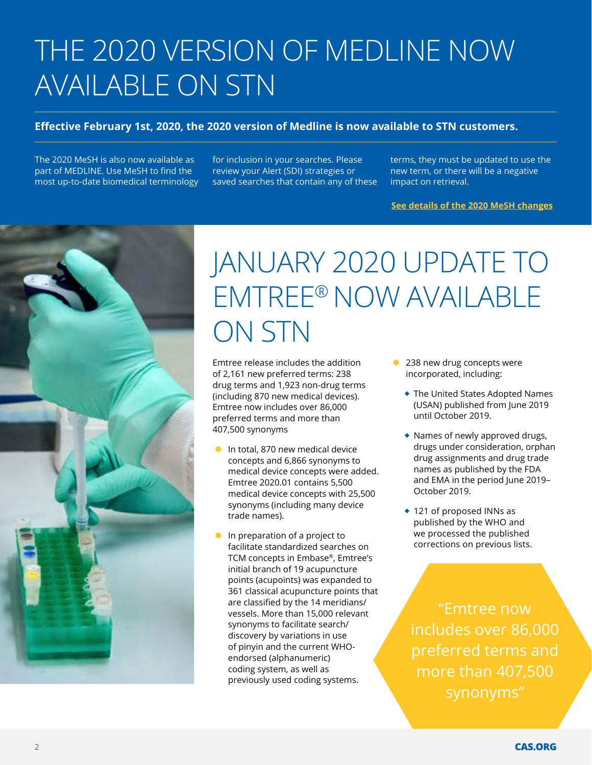# THE 2020 VERSION OF MEDLINE NOW AVAILABLE ON STN

#### **Effective February 1st, 2020, the 2020 version of Medline is now available to STN customers.**

The 2020 MeSH is also now available as part of MEDLINE. Use MeSH to find the most up-to-date biomedical terminology for inclusion in your searches. Please review your Alert (SDI) strategies or saved searches that contain any of these terms, they must be updated to use the new term, or there will be a negative impact on retrieval.

**[See details of the 2020 MeSH changes](https://www.nlm.nih.gov/mesh/whatsnew.html)**



## JANUARY 2020 UPDATE TO EMTREE® NOW AVAILABLE ON STN

Emtree release includes the addition of 2,161 new preferred terms: 238 drug terms and 1,923 non-drug terms (including 870 new medical devices). Emtree now includes over 86,000 preferred terms and more than 407,500 synonyms

- $\bullet$  In total, 870 new medical device concepts and 6,866 synonyms to medical device concepts were added. Emtree 2020.01 contains 5,500 medical device concepts with 25,500 synonyms (including many device trade names).
- In preparation of a project to facilitate standardized searches on TCM concepts in Embase®, Emtree's initial branch of 19 acupuncture points (acupoints) was expanded to 361 classical acupuncture points that are classified by the 14 meridians/ vessels. More than 15,000 relevant synonyms to facilitate search/ discovery by variations in use of pinyin and the current WHOendorsed (alphanumeric) coding system, as well as previously used coding systems.
- 238 new drug concepts were incorporated, including:
	- The United States Adopted Names (USAN) published from June 2019 until October 2019.
	- Names of newly approved drugs, drugs under consideration, orphan drug assignments and drug trade names as published by the FDA and EMA in the period June 2019– October 2019.
	- ◆ 121 of proposed INNs as published by the WHO and we processed the published corrections on previous lists.

"Emtree now includes over 86,000 preferred terms and more than 407,500 synonyms"